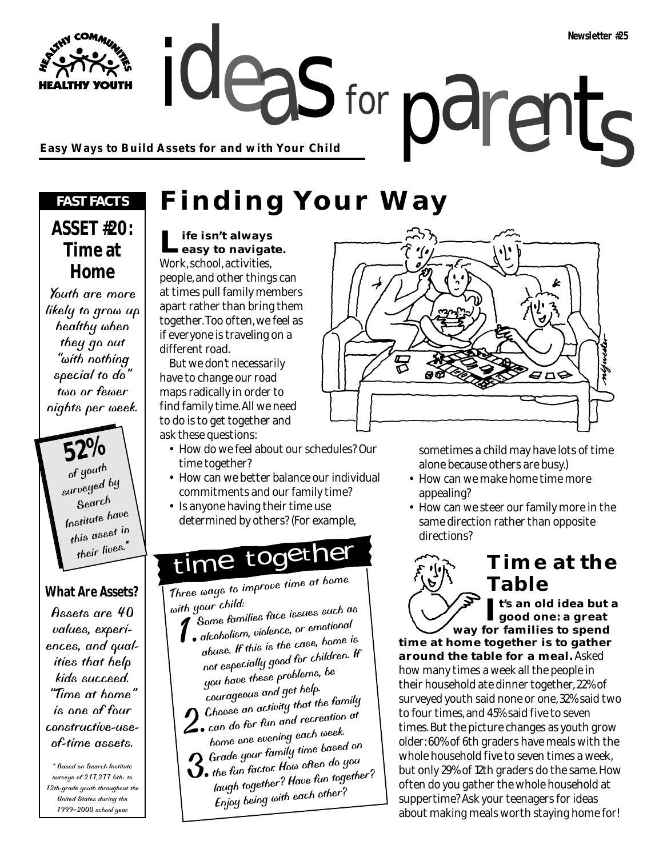ideas for parents **Easy Ways to Build Assets for and with Your Child**

#### *FAST FACTS*

#### **ASSET #20: Time at Home**

Youth are more likely to grow up healthy when they go out "with nothing special to do" two or fewer nights per week.

> **52%** of youth surveyed by Search Institute have this asset in their lives.\*

#### **What Are Assets?**

Assets are 40 values, experiences, and qualities that help kids succeed. "Time at home" is one of four constructive-useof-time assets.

\* Based on Search Institute surveys of 217,277 6th- to 12th-grade youth throughout the United States during the 1999–2000 school year.

### **Finding Your Way**

for

**Life isn't always easy to navigate.** Work, school, activities, people, and other things can at times pull family members apart rather than bring them together. Too often, we feel as if everyone is traveling on a different road.

But we don't necessarily have to change our road maps radically in order to find family time. All we need to do is to get together and ask these questions:

- How do we feel about our schedules? Our time together?
- How can we better balance our individual commitments and our family time?
- Is anyone having their time use determined by others? (For example,

### time together

Three ways to improve time at home

- with your child:<br>4 Some families face issues such as ith your child.<br>1. Some families face issues such as<br>1. alcoholism, violence, or emotional
	- abuse. If this is the case, home is not especially good for children. If you have these problems, be courageous and get help.

**1)** Choose an activity that the family **L**. can do for fun and recreation at

- home one evening each week.<br>2 Grade your family time based on
- nome one of the function of the based on<br>3. the fun factor. How often do you laugh together? Have fun together? Enjoy being with each other?



sometimes a child may have lots of time alone because others are busy.)

- How can we make home time more appealing?
- How can we steer our family more in the same direction rather than opposite directions?

### **Time at the Table**

**It's an old idea but a good one: a great way for families to spend**

**time at home together is to gather around the table for a meal.** Asked how many times a week all the people in their household ate dinner together, 22% of surveyed youth said none or one, 32% said two to four times, and 45% said five to seven times. But the picture changes as youth grow older: 60% of 6th graders have meals with the whole household five to seven times a week, but only 29% of 12th graders do the same. How often do you gather the whole household at suppertime? Ask your teenagers for ideas about making meals worth staying home for!